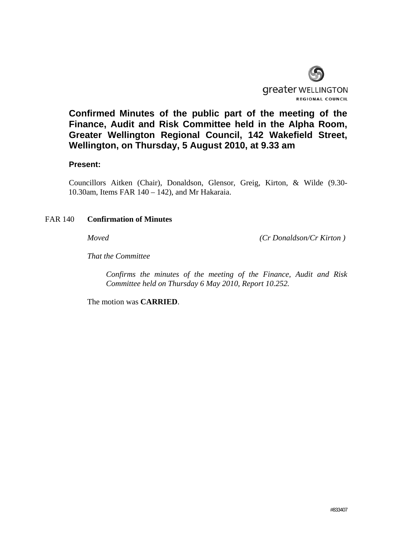

**Confirmed Minutes of the public part of the meeting of the Finance, Audit and Risk Committee held in the Alpha Room, Greater Wellington Regional Council, 142 Wakefield Street, Wellington, on Thursday, 5 August 2010, at 9.33 am** 

### **Present:**

Councillors Aitken (Chair), Donaldson, Glensor, Greig, Kirton, & Wilde (9.30- 10.30am, Items FAR 140 – 142), and Mr Hakaraia.

### FAR 140 **Confirmation of Minutes**

*Moved (Cr Donaldson/Cr Kirton )* 

*That the Committee* 

 *Confirms the minutes of the meeting of the Finance, Audit and Risk Committee held on Thursday 6 May 2010, Report 10.252.* 

The motion was **CARRIED**.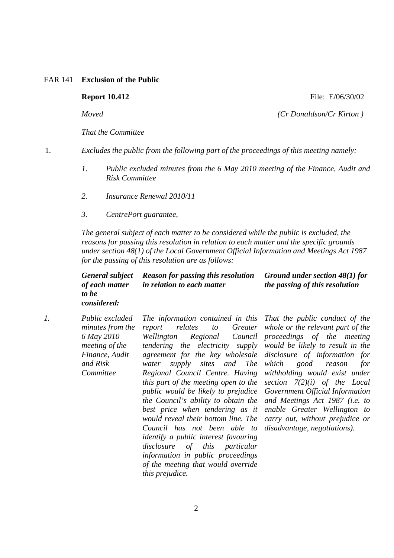### FAR 141 **Exclusion of the Public**

### **Report 10.412 File: E/06/30/02**

*Moved (Cr Donaldson/Cr Kirton )* 

*That the Committee* 

1. *Excludes the public from the following part of the proceedings of this meeting namely:* 

- *1. Public excluded minutes from the 6 May 2010 meeting of the Finance, Audit and Risk Committee*
- *2. Insurance Renewal 2010/11*
- *3. CentrePort guarantee,*

*The general subject of each matter to be considered while the public is excluded, the reasons for passing this resolution in relation to each matter and the specific grounds under section 48(1) of the Local Government Official Information and Meetings Act 1987 for the passing of this resolution are as follows:* 

### *General subject of each matter to be Reason for passing this resolution in relation to each matter Ground under section 48(1) for the passing of this resolution*

*considered:* 

*1. Public excluded minutes from the 6 May 2010 meeting of the Finance, Audit and Risk Committee The information contained in this report relates to Greater Wellington Regional Council tendering the electricity supply agreement for the key wholesale water supply sites and The Regional Council Centre. Having this part of the meeting open to the public would be likely to prejudice the Council's ability to obtain the best price when tendering as it would reveal their bottom line. The Council has not been able to identify a public interest favouring disclosure of this particular information in public proceedings of the meeting that would override this prejudice.*

*That the public conduct of the whole or the relevant part of the proceedings of the meeting would be likely to result in the disclosure of information for which good reason for withholding would exist under section 7(2)(i) of the Local Government Official Information and Meetings Act 1987 (i.e. to enable Greater Wellington to carry out, without prejudice or disadvantage, negotiations).*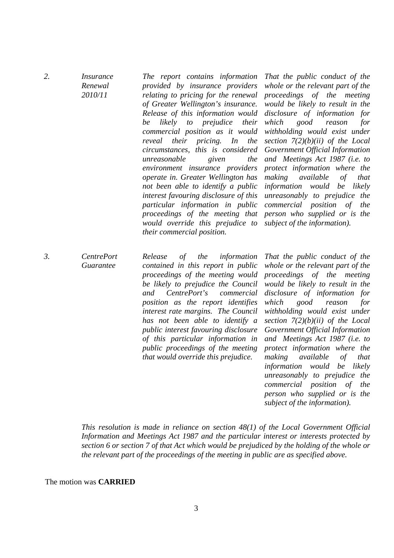| 2.               | <i>Insurance</i><br>Renewal<br>2010/11 | The report contains information<br>provided by insurance providers<br>relating to pricing for the renewal<br>of Greater Wellington's insurance.<br>Release of this information would<br>likely<br>prejudice<br>their<br>be<br>$\mathfrak{t}\mathfrak{o}$<br>commercial position as it would<br><i>pricing.</i><br>reveal<br>their<br>In<br>the<br>circumstances, this is considered<br>unreasonable<br>given<br>the<br>environment insurance providers<br>operate in. Greater Wellington has<br>not been able to identify a public<br>interest favouring disclosure of this<br>particular information in public<br>proceedings of the meeting that<br>would override this prejudice to<br>their commercial position. | That the public conduct of the<br>whole or the relevant part of the<br>proceedings of the meeting<br>would be likely to result in the<br>disclosure of information for<br>which<br>good<br>for<br>reason<br>withholding would exist under<br>section $7(2)(b)(ii)$ of the Local<br>Government Official Information<br>and Meetings Act 1987 (i.e. to<br>protect information where the<br>making available<br>that<br>of<br>information would<br>be<br>likely<br>unreasonably to prejudice the<br>commercial position of<br>the<br>person who supplied or is the<br>subject of the information). |
|------------------|----------------------------------------|----------------------------------------------------------------------------------------------------------------------------------------------------------------------------------------------------------------------------------------------------------------------------------------------------------------------------------------------------------------------------------------------------------------------------------------------------------------------------------------------------------------------------------------------------------------------------------------------------------------------------------------------------------------------------------------------------------------------|-------------------------------------------------------------------------------------------------------------------------------------------------------------------------------------------------------------------------------------------------------------------------------------------------------------------------------------------------------------------------------------------------------------------------------------------------------------------------------------------------------------------------------------------------------------------------------------------------|
| $\mathfrak{Z}$ . | <b>CentrePort</b><br><b>Guarantee</b>  | Release<br>$\sigma f$<br>the<br>information<br>contained in this report in public<br>proceedings of the meeting would<br>be likely to prejudice the Council<br>CentrePort's<br>and<br>commercial<br>position as the report identifies<br>interest rate margins. The Council<br>has not been able to identify a<br>public interest favouring disclosure<br>of this particular information in<br>public proceedings of the meeting<br>that would override this prejudice.                                                                                                                                                                                                                                              | That the public conduct of the<br>whole or the relevant part of the<br>proceedings of the meeting<br>would be likely to result in the<br>disclosure of information for<br>which<br>good<br>for<br>reason<br>withholding would exist under<br>section $7(2)(b)(ii)$ of the Local<br>Government Official Information<br>and Meetings Act 1987 (i.e. to<br>protect information where the<br>making<br>available<br>that<br>of<br>information would<br>be<br>likely<br>unreasonably to prejudice the                                                                                                |

*This resolution is made in reliance on section 48(1) of the Local Government Official Information and Meetings Act 1987 and the particular interest or interests protected by section 6 or section 7 of that Act which would be prejudiced by the holding of the whole or the relevant part of the proceedings of the meeting in public are as specified above.* 

*commercial position of the person who supplied or is the subject of the information).*

The motion was **CARRIED**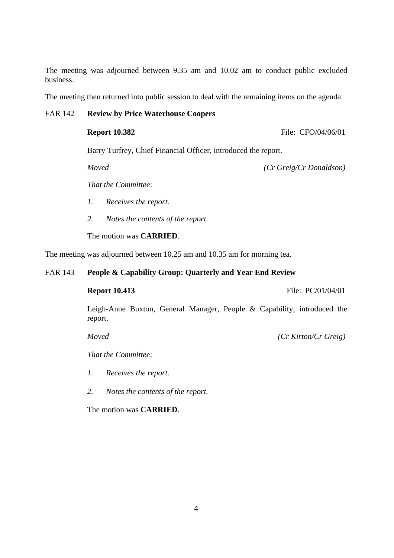The meeting was adjourned between 9.35 am and 10.02 am to conduct public excluded business.

The meeting then returned into public session to deal with the remaining items on the agenda.

## FAR 142 **Review by Price Waterhouse Coopers**

**Report 10.382 File: CFO/04/06/01** 

Barry Turfrey, Chief Financial Officer, introduced the report.

*Moved (Cr Greig/Cr Donaldson)* 

*That the Committee*:

- *1. Receives the report.*
- *2. Notes the contents of the report.*

The motion was **CARRIED**.

The meeting was adjourned between 10.25 am and 10.35 am for morning tea.

### FAR 143 **People & Capability Group: Quarterly and Year End Review**

**Report 10.413** File: PC/01/04/01

Leigh-Anne Buxton, General Manager, People & Capability, introduced the report.

 *Moved (Cr Kirton/Cr Greig)* 

*That the Committee*:

*1. Receives the report.* 

*2. Notes the contents of the report.* 

The motion was **CARRIED**.